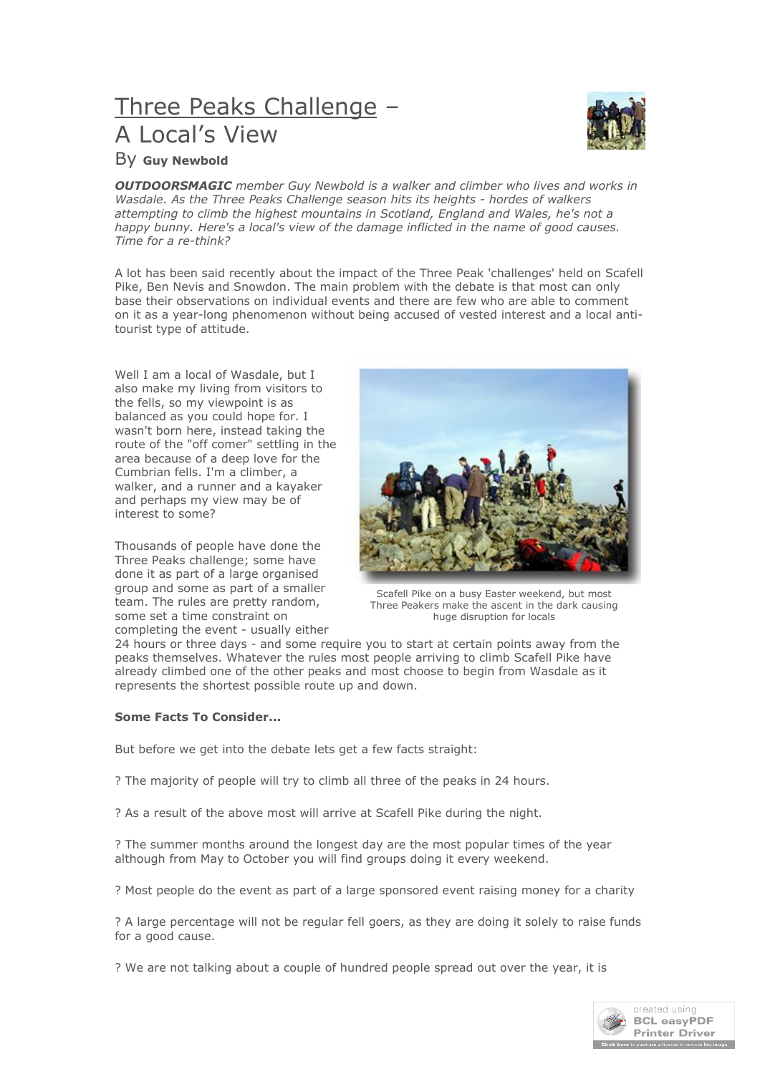# Three Peaks Challenge – A Local's View



## By **Guy Newbold**

*OUTDOORSMAGIC member Guy Newbold is a walker and climber who lives and works in Wasdale. As the Three Peaks Challenge season hits its heights - hordes of walkers attempting to climb the highest mountains in Scotland, England and Wales, he's not a happy bunny. Here's a local's view of the damage inflicted in the name of good causes. Time for a re-think?*

A lot has been said recently about the impact of the Three Peak 'challenges' held on Scafell Pike, Ben Nevis and Snowdon. The main problem with the debate is that most can only base their observations on individual events and there are few who are able to comment on it as a year-long phenomenon without being accused of vested interest and a local antitourist type of attitude.

Well I am a local of Wasdale, but I also make my living from visitors to the fells, so my viewpoint is as balanced as you could hope for. I wasn't born here, instead taking the route of the "off comer" settling in the area because of a deep love for the Cumbrian fells. I'm a climber, a walker, and a runner and a kayaker and perhaps my view may be of interest to some?

Thousands of people have done the Three Peaks challenge; some have done it as part of a large organised group and some as part of a smaller team. The rules are pretty random, some set a time constraint on completing the event - usually either



Scafell Pike on a busy Easter weekend, but most Three Peakers make the ascent in the dark causing huge disruption for locals

24 hours or three days - and some require you to start at certain points away from the peaks themselves. Whatever the rules most people arriving to climb Scafell Pike have already climbed one of the other peaks and most choose to begin from Wasdale as it represents the shortest possible route up and down.

### **Some Facts To Consider...**

But before we get into the debate lets get a few facts straight:

? The majority of people will try to climb all three of the peaks in 24 hours.

? As a result of the above most will arrive at Scafell Pike during the night.

? The summer months around the longest day are the most popular times of the year although from May to October you will find groups doing it every weekend.

? Most people do the event as part of a large sponsored event raising money for a charity

? A large percentage will not be regular fell goers, as they are doing it solely to raise funds for a good cause.

? We are not talking about a couple of hundred people spread out over the year, it is

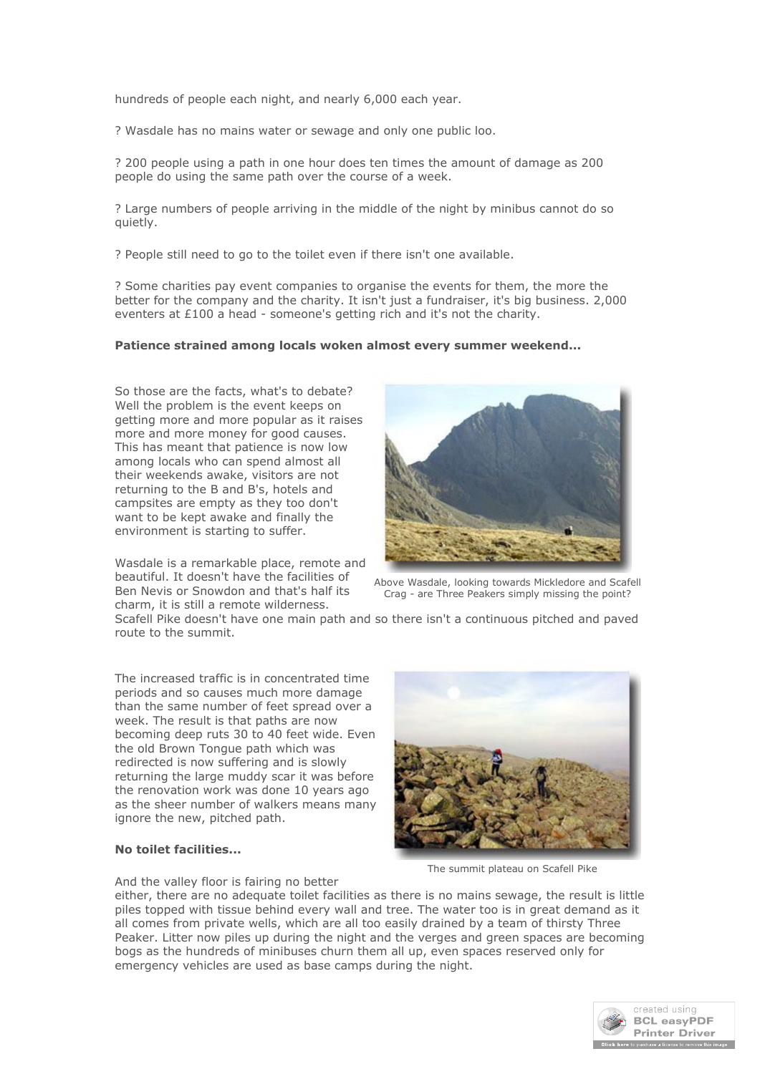hundreds of people each night, and nearly 6,000 each year.

? Wasdale has no mains water or sewage and only one public loo.

? 200 people using a path in one hour does ten times the amount of damage as 200 people do using the same path over the course of a week.

? Large numbers of people arriving in the middle of the night by minibus cannot do so quietly.

? People still need to go to the toilet even if there isn't one available.

? Some charities pay event companies to organise the events for them, the more the better for the company and the charity. It isn't just a fundraiser, it's big business. 2,000 eventers at £100 a head - someone's getting rich and it's not the charity.

#### **Patience strained among locals woken almost every summer weekend...**

So those are the facts, what's to debate? Well the problem is the event keeps on getting more and more popular as it raises more and more money for good causes. This has meant that patience is now low among locals who can spend almost all their weekends awake, visitors are not returning to the B and B's, hotels and campsites are empty as they too don't want to be kept awake and finally the environment is starting to suffer.

Wasdale is a remarkable place, remote and beautiful. It doesn't have the facilities of Ben Nevis or Snowdon and that's half its charm, it is still a remote wilderness.



Above Wasdale, looking towards Mickledore and Scafell Crag - are Three Peakers simply missing the point?

Scafell Pike doesn't have one main path and so there isn't a continuous pitched and paved route to the summit.

The increased traffic is in concentrated time periods and so causes much more damage than the same number of feet spread over a week. The result is that paths are now becoming deep ruts 30 to 40 feet wide. Even the old Brown Tongue path which was redirected is now suffering and is slowly returning the large muddy scar it was before the renovation work was done 10 years ago as the sheer number of walkers means many ignore the new, pitched path.

#### **No toilet facilities...**

And the valley floor is fairing no better

either, there are no adequate toilet facilities as there is no mains sewage, the result is little piles topped with tissue behind every wall and tree. The water too is in great demand as it all comes from private wells, which are all too easily drained by a team of thirsty Three Peaker. Litter now piles up during the night and the verges and green spaces are becoming bogs as the hundreds of minibuses churn them all up, even spaces reserved only for emergency vehicles are used as base camps during the night.



The summit plateau on Scafell Pike